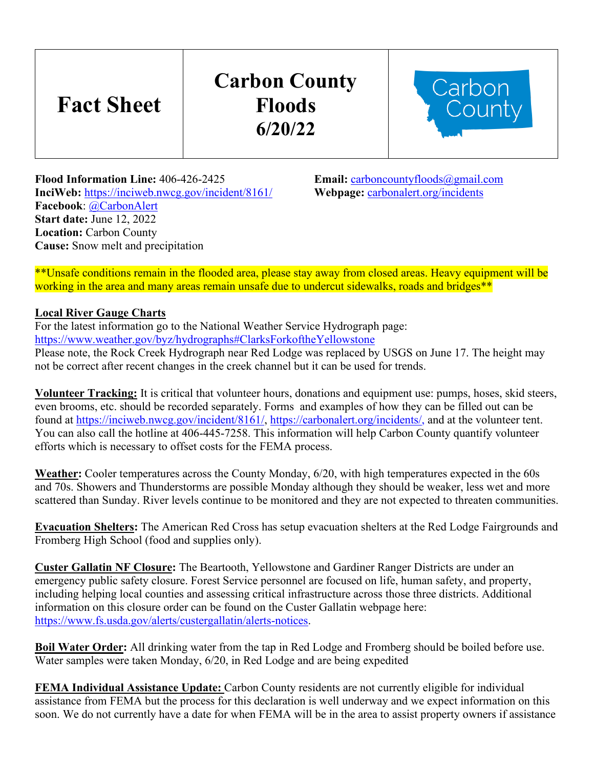# **Fact Sheet**

## **Carbon County Floods 6/20/22**



**Flood Information Line:** 406-426-2425<br> **Finali:** <u>[carboncountyfloods@gmail.com](mailto:carboncountyfloods@gmail.com)</u><br> **InciWeb:** https://inciweb.nwcg.gov/incident/8161/<br> **Webpage:** carbonalert.org/incidents **InciWeb:** https://inciweb.nwcg.gov/incident/8161/ **Facebook**: [@CarbonAlert](https://www.facebook.com/CarbonAlert/) **Start date:** June 12, 2022 **Location:** Carbon County **Cause:** Snow melt and precipitation

\*\*Unsafe conditions remain in the flooded area, please stay away from closed areas. Heavy equipment will be working in the area and many areas remain unsafe due to undercut sidewalks, roads and bridges\*\*

### **Local River Gauge Charts**

For the latest information go to the National Weather Service Hydrograph page: <https://www.weather.gov/byz/hydrographs#ClarksForkoftheYellowstone>

Please note, the Rock Creek Hydrograph near Red Lodge was replaced by USGS on June 17. The height may not be correct after recent changes in the creek channel but it can be used for trends.

**Volunteer Tracking:** It is critical that volunteer hours, donations and equipment use: pumps, hoses, skid steers, even brooms, etc. should be recorded separately. Forms and examples of how they can be filled out can be found at [https://inciweb.nwcg.gov/incident/8161/,](https://inciweb.nwcg.gov/incident/8161/) https://carbonalert.org/incidents/, and at the volunteer tent. You can also call the hotline at 406-445-7258. This information will help Carbon County quantify volunteer efforts which is necessary to offset costs for the FEMA process.

**Weather:** Cooler temperatures across the County Monday, 6/20, with high temperatures expected in the 60s and 70s. Showers and Thunderstorms are possible Monday although they should be weaker, less wet and more scattered than Sunday. River levels continue to be monitored and they are not expected to threaten communities.

**Evacuation Shelters:** The American Red Cross has setup evacuation shelters at the Red Lodge Fairgrounds and Fromberg High School (food and supplies only).

**Custer Gallatin NF Closure:** The Beartooth, Yellowstone and Gardiner Ranger Districts are under an emergency public safety closure. Forest Service personnel are focused on life, human safety, and property, including helping local counties and assessing critical infrastructure across those three districts. Additional information on this closure order can be found on the Custer Gallatin webpage here: [https://www.fs.usda.gov/alerts/custergallatin/alerts-notices.](https://www.fs.usda.gov/alerts/custergallatin/alerts-notices)

**Boil Water Order:** All drinking water from the tap in Red Lodge and Fromberg should be boiled before use. Water samples were taken Monday, 6/20, in Red Lodge and are being expedited

**FEMA Individual Assistance Update:** Carbon County residents are not currently eligible for individual assistance from FEMA but the process for this declaration is well underway and we expect information on this soon. We do not currently have a date for when FEMA will be in the area to assist property owners if assistance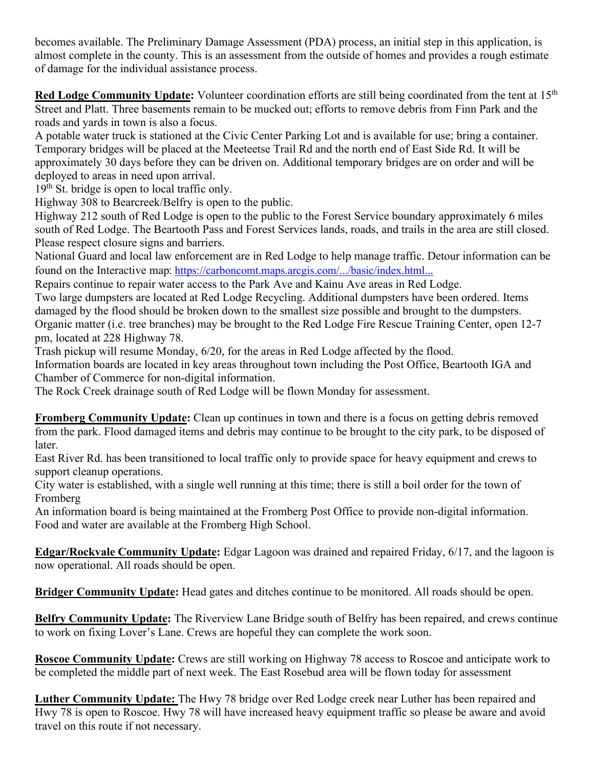becomes available. The Preliminary Damage Assessment (PDA) process, an initial step in this application, is almost complete in the county. This is an assessment from the outside of homes and provides a rough estimate of damage for the individual assistance process.

**Red Lodge Community Update:** Volunteer coordination efforts are still being coordinated from the tent at 15<sup>th</sup> Street and Platt. Three basements remain to be mucked out; efforts to remove debris from Finn Park and the roads and yards in town is also a focus.

A potable water truck is stationed at the Civic Center Parking Lot and is available for use; bring a container. Temporary bridges will be placed at the Meeteetse Trail Rd and the north end of East Side Rd. It will be approximately 30 days before they can be driven on. Additional temporary bridges are on order and will be deployed to areas in need upon arrival.

 $19<sup>th</sup>$  St. bridge is open to local traffic only.

Highway 308 to Bearcreek/Belfry is open to the public.

Highway 212 south of Red Lodge is open to the public to the Forest Service boundary approximately 6 miles south of Red Lodge. The Beartooth Pass and Forest Services lands, roads, and trails in the area are still closed. Please respect closure signs and barriers.

National Guard and local law enforcement are in Red Lodge to help manage traffic. Detour information can be found on the Interactive map: [https://carboncomt.maps.arcgis.com/.../basic/index.html...](https://carboncomt.maps.arcgis.com/apps/instant/basic/index.html?appid=223990838eef461d8e2919216969bdb6&fbclid=IwAR1pTxbrqh0yr1P4AGwpuH9LUDkXOt1MFyQqfDnLnNdwDpmfq8EtGPWjjx4)

Repairs continue to repair water access to the Park Ave and Kainu Ave areas in Red Lodge.

Two large dumpsters are located at Red Lodge Recycling. Additional dumpsters have been ordered. Items damaged by the flood should be broken down to the smallest size possible and brought to the dumpsters. Organic matter (i.e. tree branches) may be brought to the Red Lodge Fire Rescue Training Center, open 12-7 pm, located at 228 Highway 78.

Trash pickup will resume Monday, 6/20, for the areas in Red Lodge affected by the flood.

Information boards are located in key areas throughout town including the Post Office, Beartooth IGA and Chamber of Commerce for non-digital information.

The Rock Creek drainage south of Red Lodge will be flown Monday for assessment.

**Fromberg Community Update:** Clean up continues in town and there is a focus on getting debris removed from the park. Flood damaged items and debris may continue to be brought to the city park, to be disposed of later.

East River Rd. has been transitioned to local traffic only to provide space for heavy equipment and crews to support cleanup operations.

City water is established, with a single well running at this time; there is still a boil order for the town of Fromberg

An information board is being maintained at the Fromberg Post Office to provide non-digital information. Food and water are available at the Fromberg High School.

**Edgar/Rockvale Community Update:** Edgar Lagoon was drained and repaired Friday, 6/17, and the lagoon is now operational. All roads should be open.

**Bridger Community Update:** Head gates and ditches continue to be monitored. All roads should be open.

**Belfry Community Update:** The Riverview Lane Bridge south of Belfry has been repaired, and crews continue to work on fixing Lover's Lane. Crews are hopeful they can complete the work soon.

**Roscoe Community Update:** Crews are still working on Highway 78 access to Roscoe and anticipate work to be completed the middle part of next week. The East Rosebud area will be flown today for assessment

**Luther Community Update:** The Hwy 78 bridge over Red Lodge creek near Luther has been repaired and Hwy 78 is open to Roscoe. Hwy 78 will have increased heavy equipment traffic so please be aware and avoid travel on this route if not necessary.